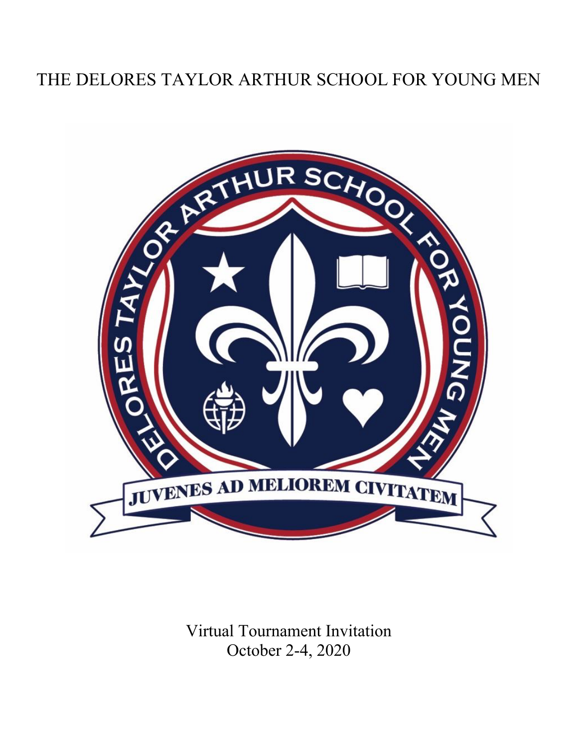# THE DELORES TAYLOR ARTHUR SCHOOL FOR YOUNG MEN



Virtual Tournament Invitation October 2-4, 2020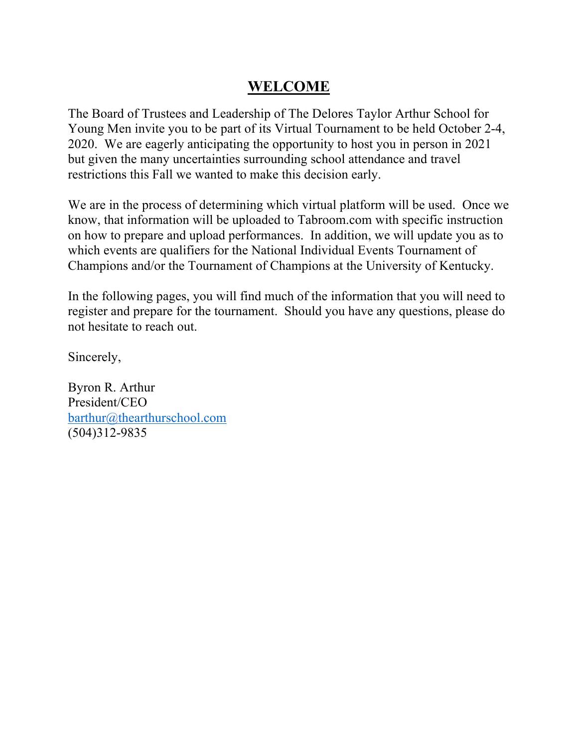### **WELCOME**

The Board of Trustees and Leadership of The Delores Taylor Arthur School for Young Men invite you to be part of its Virtual Tournament to be held October 2-4, 2020. We are eagerly anticipating the opportunity to host you in person in 2021 but given the many uncertainties surrounding school attendance and travel restrictions this Fall we wanted to make this decision early.

We are in the process of determining which virtual platform will be used. Once we know, that information will be uploaded to Tabroom.com with specific instruction on how to prepare and upload performances. In addition, we will update you as to which events are qualifiers for the National Individual Events Tournament of Champions and/or the Tournament of Champions at the University of Kentucky.

In the following pages, you will find much of the information that you will need to register and prepare for the tournament. Should you have any questions, please do not hesitate to reach out.

Sincerely,

Byron R. Arthur President/CEO barthur@thearthurschool.com (504)312-9835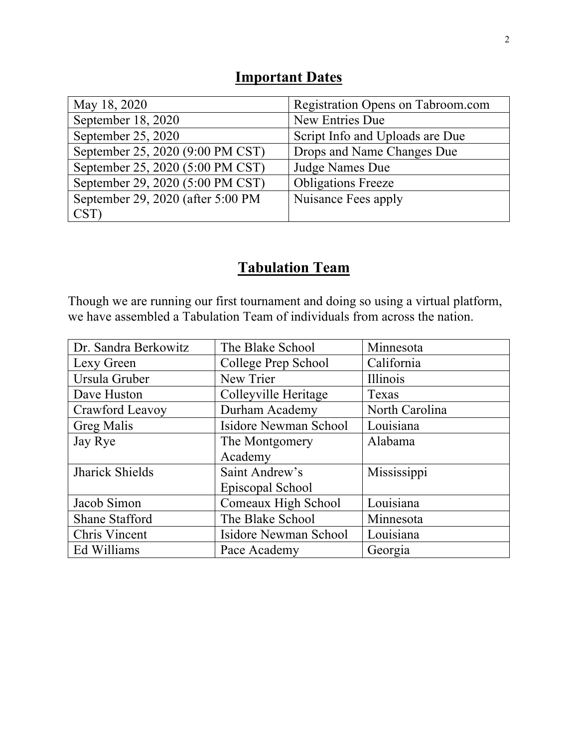### **Important Dates**

| May 18, 2020                      | Registration Opens on Tabroom.com |
|-----------------------------------|-----------------------------------|
| September 18, 2020                | New Entries Due                   |
| September 25, 2020                | Script Info and Uploads are Due   |
| September 25, 2020 (9:00 PM CST)  | Drops and Name Changes Due        |
| September 25, 2020 (5:00 PM CST)  | Judge Names Due                   |
| September 29, 2020 (5:00 PM CST)  | <b>Obligations Freeze</b>         |
| September 29, 2020 (after 5:00 PM | Nuisance Fees apply               |
| CST)                              |                                   |

## **Tabulation Team**

Though we are running our first tournament and doing so using a virtual platform, we have assembled a Tabulation Team of individuals from across the nation.

| Dr. Sandra Berkowitz   | The Blake School      | Minnesota      |
|------------------------|-----------------------|----------------|
| Lexy Green             | College Prep School   | California     |
| Ursula Gruber          | New Trier             | Illinois       |
| Dave Huston            | Colleyville Heritage  | Texas          |
| Crawford Leavoy        | Durham Academy        | North Carolina |
| <b>Greg Malis</b>      | Isidore Newman School | Louisiana      |
| Jay Rye                | The Montgomery        | Alabama        |
|                        | Academy               |                |
| <b>Jharick Shields</b> | Saint Andrew's        | Mississippi    |
|                        | Episcopal School      |                |
| Jacob Simon            | Comeaux High School   | Louisiana      |
| <b>Shane Stafford</b>  | The Blake School      | Minnesota      |
| Chris Vincent          | Isidore Newman School | Louisiana      |
| Ed Williams            | Pace Academy          | Georgia        |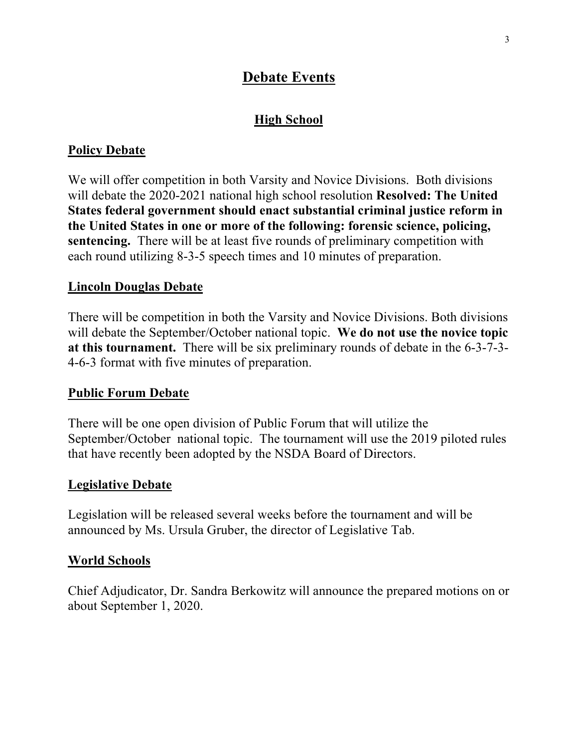### **Debate Events**

#### **High School**

#### **Policy Debate**

We will offer competition in both Varsity and Novice Divisions. Both divisions will debate the 2020-2021 national high school resolution **Resolved: The United States federal government should enact substantial criminal justice reform in the United States in one or more of the following: forensic science, policing, sentencing.** There will be at least five rounds of preliminary competition with each round utilizing 8-3-5 speech times and 10 minutes of preparation.

#### **Lincoln Douglas Debate**

There will be competition in both the Varsity and Novice Divisions. Both divisions will debate the September/October national topic. **We do not use the novice topic at this tournament.** There will be six preliminary rounds of debate in the 6-3-7-3- 4-6-3 format with five minutes of preparation.

#### **Public Forum Debate**

There will be one open division of Public Forum that will utilize the September/October national topic. The tournament will use the 2019 piloted rules that have recently been adopted by the NSDA Board of Directors.

#### **Legislative Debate**

Legislation will be released several weeks before the tournament and will be announced by Ms. Ursula Gruber, the director of Legislative Tab.

#### **World Schools**

Chief Adjudicator, Dr. Sandra Berkowitz will announce the prepared motions on or about September 1, 2020.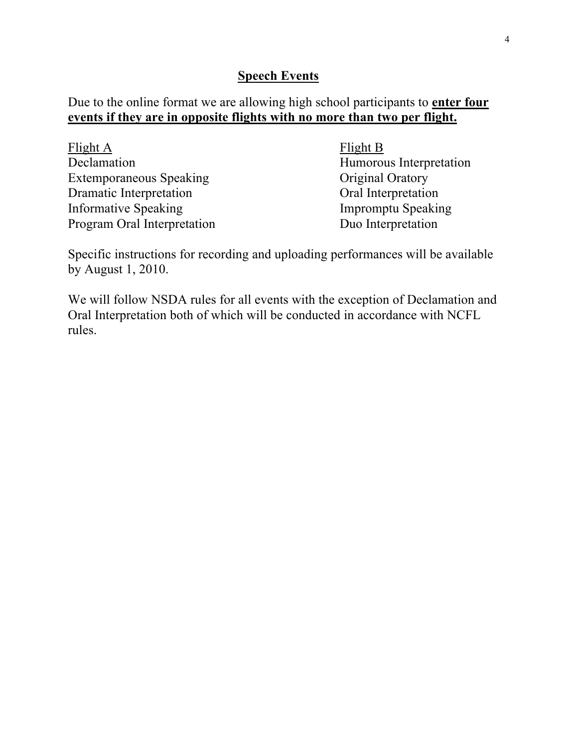#### **Speech Events**

Due to the online format we are allowing high school participants to **enter four events if they are in opposite flights with no more than two per flight.**

| Flight A                       | Flight B                  |
|--------------------------------|---------------------------|
| Declamation                    | Humorous Interpretation   |
| <b>Extemporaneous Speaking</b> | Original Oratory          |
| Dramatic Interpretation        | Oral Interpretation       |
| <b>Informative Speaking</b>    | <b>Impromptu Speaking</b> |
| Program Oral Interpretation    | Duo Interpretation        |

Specific instructions for recording and uploading performances will be available by August 1, 2010.

We will follow NSDA rules for all events with the exception of Declamation and Oral Interpretation both of which will be conducted in accordance with NCFL rules.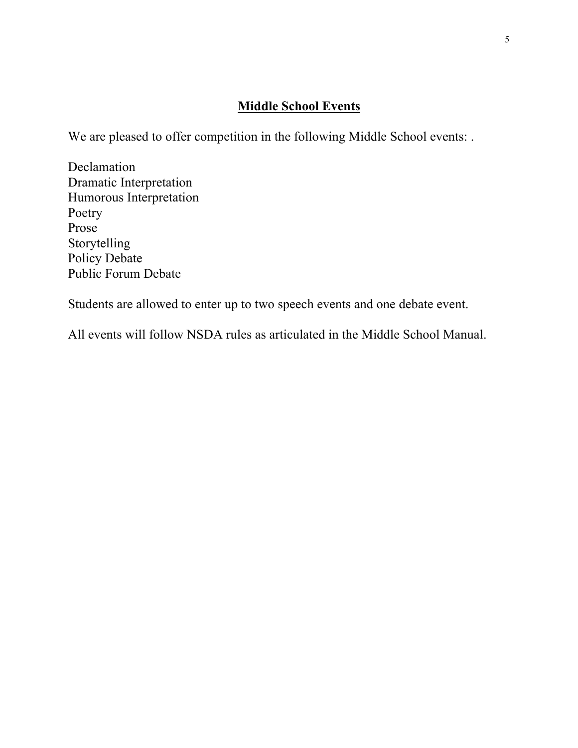#### **Middle School Events**

We are pleased to offer competition in the following Middle School events: .

Declamation Dramatic Interpretation Humorous Interpretation Poetry Prose Storytelling Policy Debate Public Forum Debate

Students are allowed to enter up to two speech events and one debate event.

All events will follow NSDA rules as articulated in the Middle School Manual.